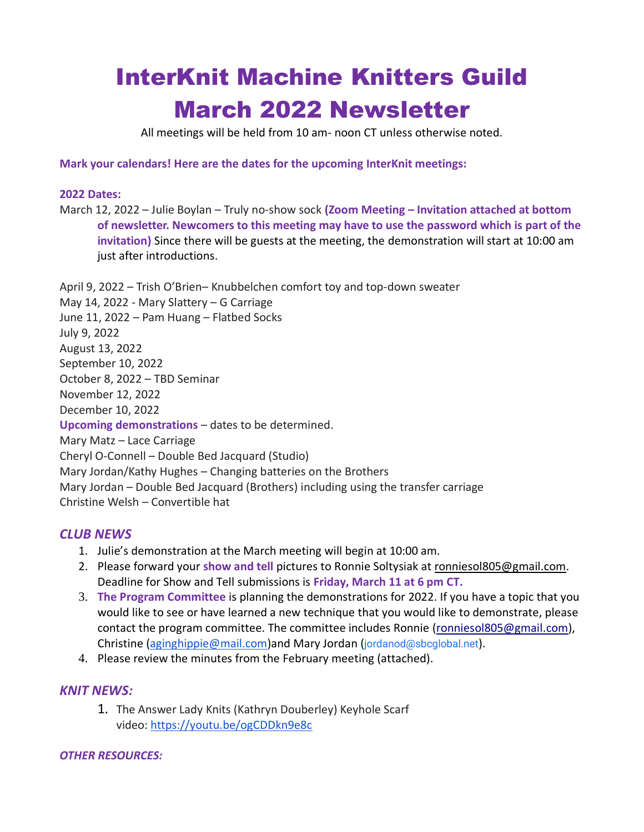# InterKnit Machine Knitters Guild March 2022 Newsletter

All meetings will be held from 10 am- noon CT unless otherwise noted.

**Mark your calendars! Here are the dates for the upcoming InterKnit meetings:**

#### **2022 Dates:**

March 12, 2022 – Julie Boylan – Truly no-show sock **(Zoom Meeting – Invitation attached at bottom of newsletter. Newcomers to this meeting may have to use the password which is part of the invitation)** Since there will be guests at the meeting, the demonstration will start at 10:00 am just after introductions.

April 9, 2022 – Trish O'Brien– Knubbelchen comfort toy and top-down sweater May 14, 2022 - Mary Slattery – G Carriage June 11, 2022 – Pam Huang – Flatbed Socks July 9, 2022 August 13, 2022 September 10, 2022 October 8, 2022 – TBD Seminar November 12, 2022 December 10, 2022 **Upcoming demonstrations** – dates to be determined. Mary Matz – Lace Carriage Cheryl O-Connell – Double Bed Jacquard (Studio) Mary Jordan/Kathy Hughes – Changing batteries on the Brothers Mary Jordan – Double Bed Jacquard (Brothers) including using the transfer carriage Christine Welsh – Convertible hat

## *CLUB NEWS*

- 1. Julie's demonstration at the March meeting will begin at 10:00 am.
- 2. Please forward your **show and tell** pictures to Ronnie Soltysiak at [ronniesol805@gmail.com.](mailto:ronniesol805@gmail.com) Deadline for Show and Tell submissions is **Friday, March 11 at 6 pm CT.**
- 3. **The Program Committee** is planning the demonstrations for 2022. If you have a topic that you would like to see or have learned a new technique that you would like to demonstrate, please contact the program committee. The committee includes Ronnie [\(ronniesol805@gmail.com\)](mailto:ronniesol805@gmail.com), Christine ([aginghippie@mail.com](mailto:aginghippie@mail.com))and Mary Jordan ([jordanod@sbcglobal.net](mailto:jordanod@sbcglobal.net)).
- 4. Please review the minutes from the February meeting (attached).

## *KNIT NEWS:*

1. The Answer Lady Knits (Kathryn Douberley) Keyhole Scarf video: <https://youtu.be/ogCDDkn9e8c>

#### *OTHER RESOURCES:*